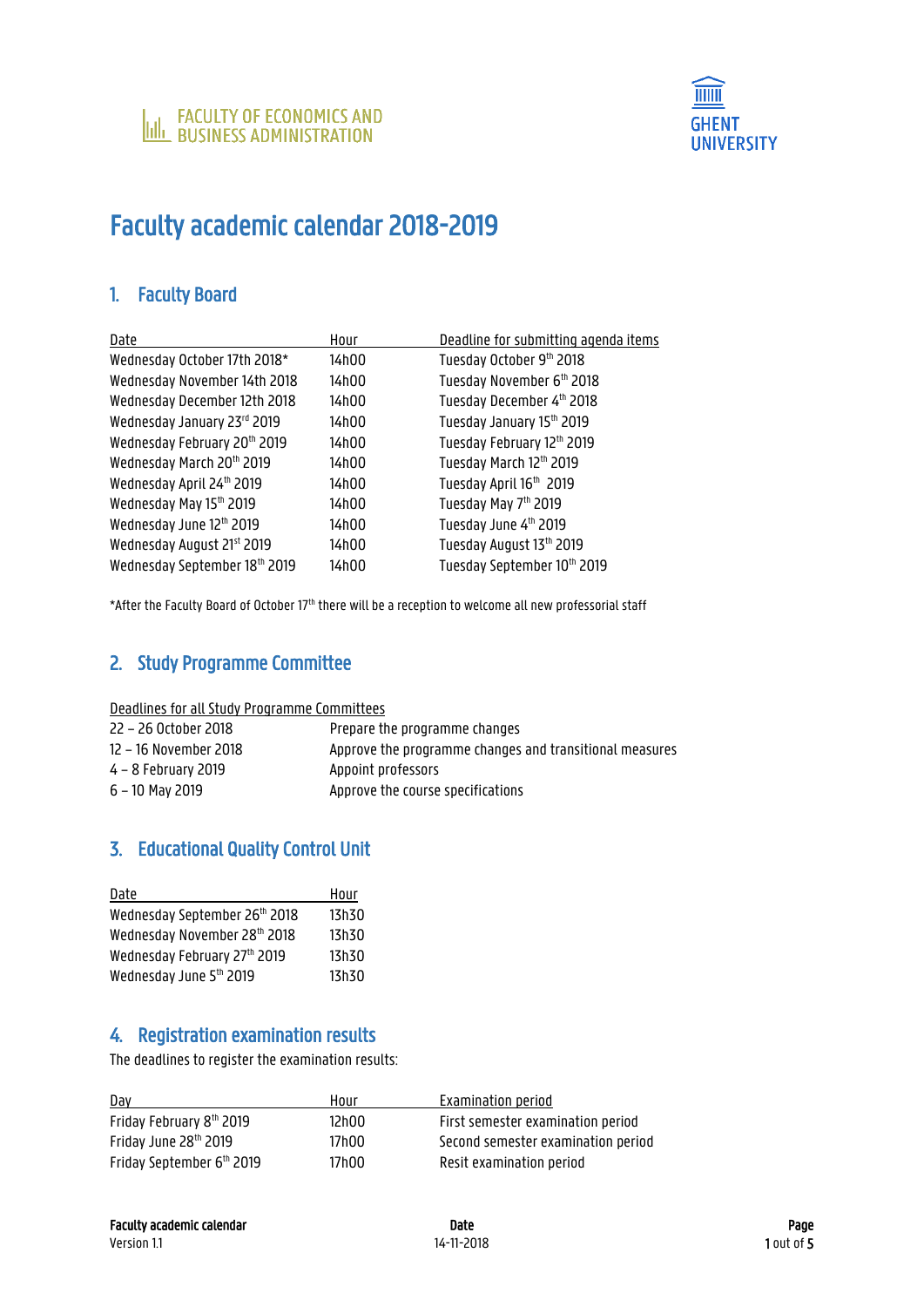

# Faculty academic calendar 2018-2019

# 1. Faculty Board

| Date                          | Hour  | Deadline for submitting agenda items |
|-------------------------------|-------|--------------------------------------|
| Wednesday October 17th 2018*  | 14h00 | Tuesday October 9th 2018             |
| Wednesday November 14th 2018  | 14h00 | Tuesday November 6th 2018            |
| Wednesday December 12th 2018  | 14h00 | Tuesday December 4th 2018            |
| Wednesday January 23rd 2019   | 14h00 | Tuesday January 15th 2019            |
| Wednesday February 20th 2019  | 14h00 | Tuesday February 12th 2019           |
| Wednesday March 20th 2019     | 14h00 | Tuesday March 12th 2019              |
| Wednesday April 24th 2019     | 14h00 | Tuesday April 16th 2019              |
| Wednesday May 15th 2019       | 14h00 | Tuesday May 7th 2019                 |
| Wednesday June 12th 2019      | 14h00 | Tuesday June 4th 2019                |
| Wednesday August 21st 2019    | 14h00 | Tuesday August 13th 2019             |
| Wednesday September 18th 2019 | 14h00 | Tuesday September 10th 2019          |

\*After the Faculty Board of October 17th there will be a reception to welcome all new professorial staff

# 2. Study Programme Committee

Deadlines for all Study Programme Committees

| 22 – 26 October 2018  | Prepare the programme changes                           |
|-----------------------|---------------------------------------------------------|
| 12 - 16 November 2018 | Approve the programme changes and transitional measures |
| 4 – 8 February 2019   | Appoint professors                                      |
| 6 – 10 May 2019       | Approve the course specifications                       |

# 3. Educational Quality Control Unit

| Hour  |
|-------|
| 13h30 |
| 13h30 |
| 13h30 |
| 13h30 |
|       |

# 4. Registration examination results

The deadlines to register the examination results:

| Dav                               | Hour  | Examination period                 |
|-----------------------------------|-------|------------------------------------|
| Friday February 8th 2019          | 12h00 | First semester examination period  |
| Friday June 28 <sup>th</sup> 2019 | 17h00 | Second semester examination period |
| Friday September 6th 2019         | 17h00 | Resit examination period           |

Version 1.1 14-11-2018 14-11-2018 14-11-2018 14-11-2018 14-11-2018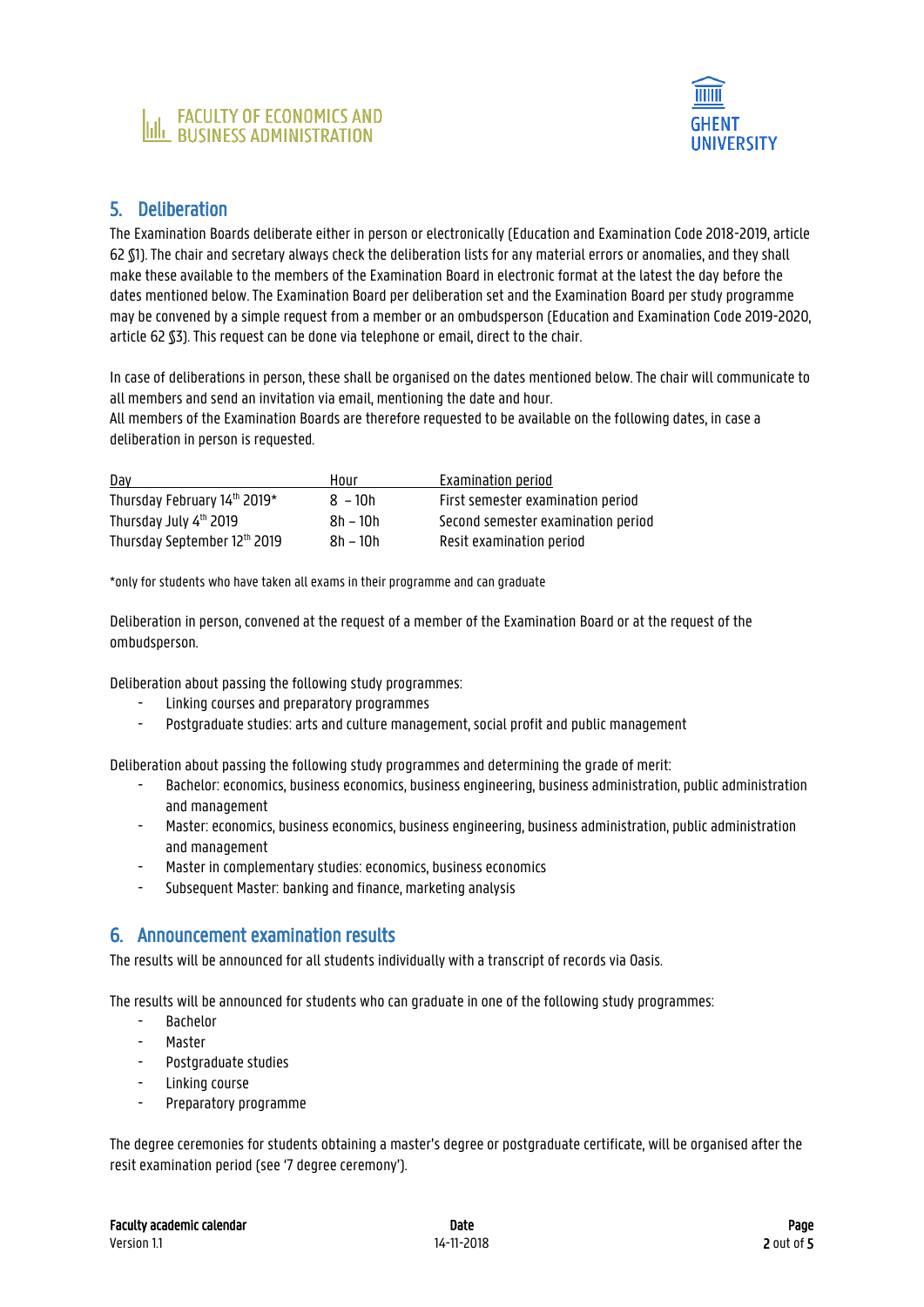



#### 5. Deliberation

The Examination Boards deliberate either in person or electronically (Education and Examination Code 2018-2019, article 62 §1). The chair and secretary always check the deliberation lists for any material errors or anomalies, and they shall make these available to the members of the Examination Board in electronic format at the latest the day before the dates mentioned below. The Examination Board per deliberation set and the Examination Board per study programme may be convened by a simple request from a member or an ombudsperson (Education and Examination Code 2019-2020, article 62 §3). This request can be done via telephone or email, direct to the chair.

In case of deliberations in person, these shall be organised on the dates mentioned below. The chair will communicate to all members and send an invitation via email, mentioning the date and hour.

All members of the Examination Boards are therefore requested to be available on the following dates, in case a deliberation in person is requested.

| Day                          | Hour       | Examination period                 |
|------------------------------|------------|------------------------------------|
| Thursday February 14th 2019* | $8 - 10h$  | First semester examination period  |
| Thursday July 4th 2019       | $8h - 10h$ | Second semester examination period |
| Thursday September 12th 2019 | 8h – 10h   | Resit examination period           |

\*only for students who have taken all exams in their programme and can graduate

Deliberation in person, convened at the request of a member of the Examination Board or at the request of the ombudsperson.

Deliberation about passing the following study programmes:

- Linking courses and preparatory programmes
- Postgraduate studies: arts and culture management, social profit and public management

Deliberation about passing the following study programmes and determining the grade of merit:

- Bachelor: economics, business economics, business engineering, business administration, public administration and management
- Master: economics, business economics, business engineering, business administration, public administration and management
- Master in complementary studies: economics, business economics
- Subsequent Master: banking and finance, marketing analysis

#### 6. Announcement examination results

The results will be announced for all students individually with a transcript of records via Oasis.

The results will be announced for students who can graduate in one of the following study programmes:

- Bachelor
- **Master**
- Postgraduate studies
- Linking course
- Preparatory programme

The degree ceremonies for students obtaining a master's degree or postgraduate certificate, will be organised after the resit examination period (see '7 degree ceremony').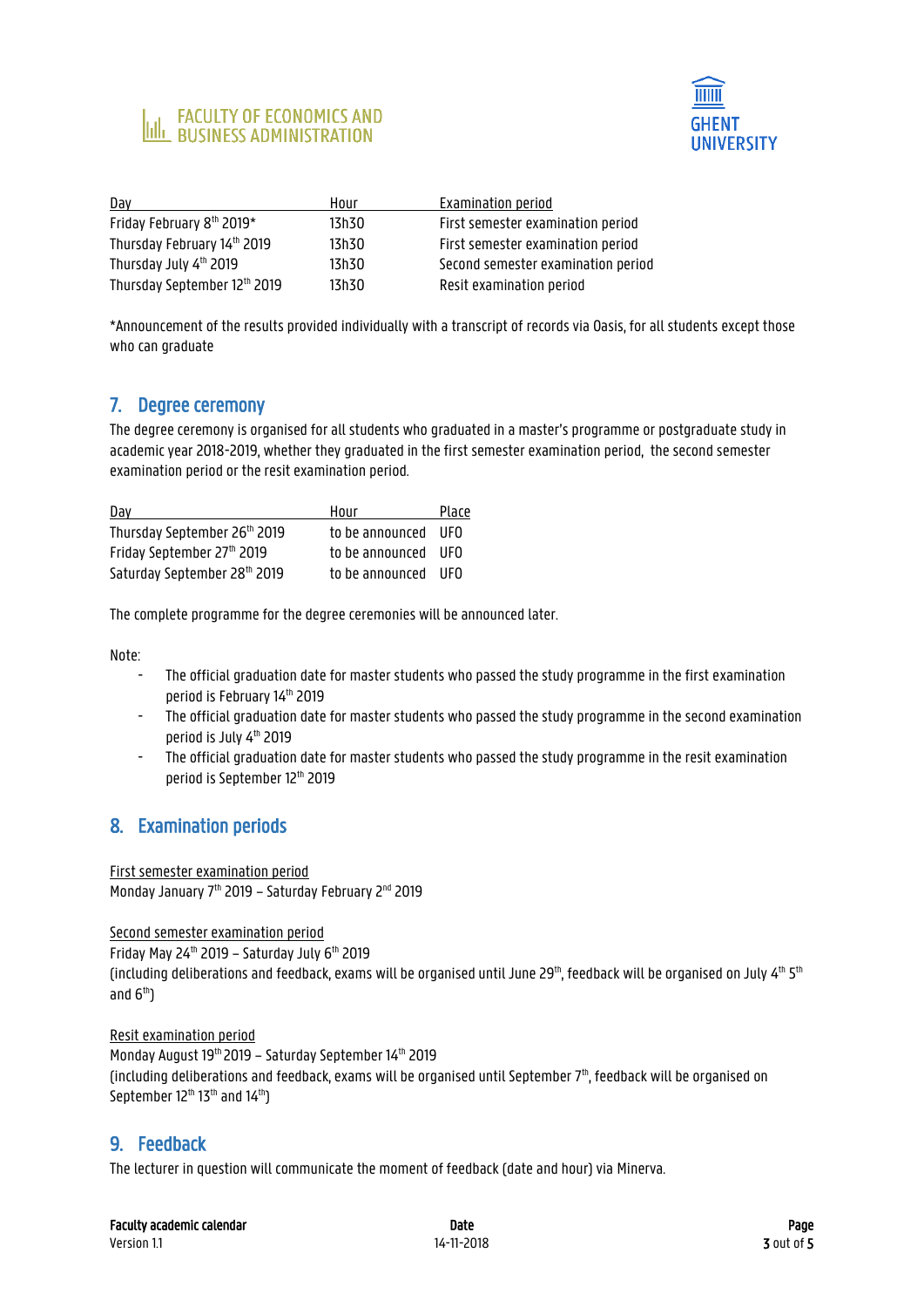



| Day                          | Hour  | Examination period                 |
|------------------------------|-------|------------------------------------|
| Friday February 8th 2019*    | 13h30 | First semester examination period  |
| Thursday February 14th 2019  | 13h30 | First semester examination period  |
| Thursday July 4th 2019       | 13h30 | Second semester examination period |
| Thursday September 12th 2019 | 13h30 | Resit examination period           |

\*Announcement of the results provided individually with a transcript of records via Oasis, for all students except those who can graduate

#### 7. Degree ceremony

The degree ceremony is organised for all students who graduated in a master's programme or postgraduate study in academic year 2018-2019, whether they graduated in the first semester examination period, the second semester examination period or the resit examination period.

| <u>Day</u>                   | Hour                | Place |
|------------------------------|---------------------|-------|
| Thursday September 26th 2019 | to be announced UFO |       |
| Friday September 27th 2019   | to be announced UFO |       |
| Saturday September 28th 2019 | to be announced UFO |       |

The complete programme for the degree ceremonies will be announced later.

Note:

- The official graduation date for master students who passed the study programme in the first examination period is February 14th 2019
- The official graduation date for master students who passed the study programme in the second examination period is July 4<sup>th</sup> 2019
- The official graduation date for master students who passed the study programme in the resit examination period is September 12th 2019

# 8. Examination periods

First semester examination period Monday January 7<sup>th</sup> 2019 - Saturday February 2<sup>nd</sup> 2019

Second semester examination period Friday May 24<sup>th</sup> 2019 – Saturday July  $6<sup>th</sup>$  2019 (including deliberations and feedback, exams will be organised until June 29 $^{\rm th}$ , feedback will be organised on July 4 $^{\rm th}$  5 $^{\rm th}$ and  $6<sup>th</sup>$ 

Resit examination period Monday August 19<sup>th</sup> 2019 – Saturday September 14<sup>th</sup> 2019 (including deliberations and feedback, exams will be organised until September  $7<sup>th</sup>$ , feedback will be organised on September 12<sup>th</sup> 13<sup>th</sup> and 14<sup>th</sup>)

# 9. Feedback

The lecturer in question will communicate the moment of feedback (date and hour) via Minerva.

| <b>Faculty academic calendar</b> | Date | Page |
|----------------------------------|------|------|
|----------------------------------|------|------|

Version 1.1 2018 **3 out of 5 out of 5 out of 5 out of 5** out of 5 out of 5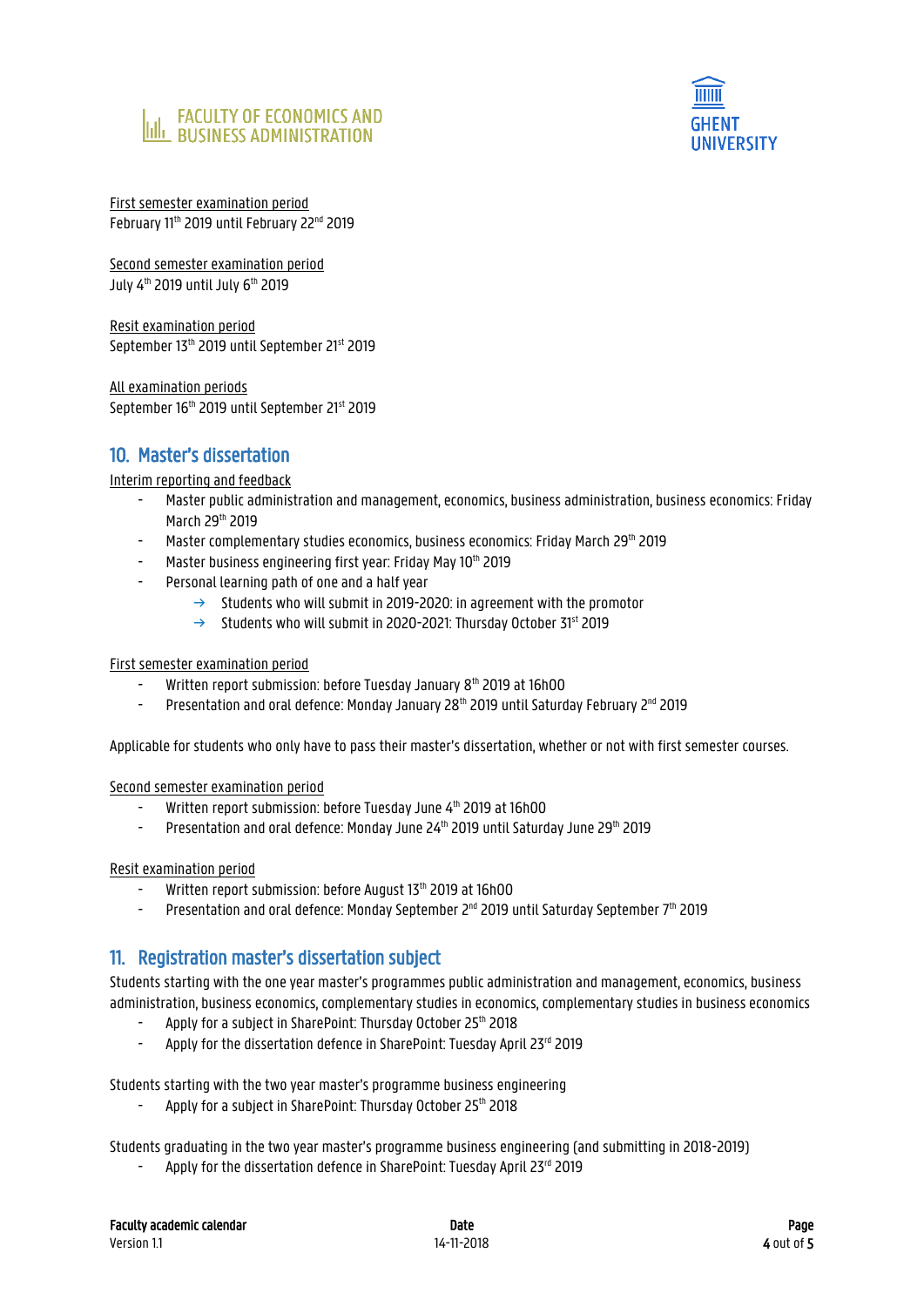



First semester examination period February 11<sup>th</sup> 2019 until February 22<sup>nd</sup> 2019

Second semester examination period July 4th 2019 until July 6th 2019

Resit examination period September 13th 2019 until September 21st 2019

All examination periods September 16<sup>th</sup> 2019 until September 21st 2019

#### 10. Master's dissertation

#### Interim reporting and feedback

- Master public administration and management, economics, business administration, business economics: Friday March 29th 2019
- Master complementary studies economics, business economics: Friday March 29th 2019
- Master business engineering first year: Friday May 10th 2019
- Personal learning path of one and a half year
	- $\rightarrow$  Students who will submit in 2019-2020: in agreement with the promotor
	- Students who will submit in 2020-2021: Thursday October 31<sup>st</sup> 2019

#### First semester examination period

- Written report submission: before Tuesday January 8<sup>th</sup> 2019 at 16h00
- Presentation and oral defence: Monday January 28<sup>th</sup> 2019 until Saturday February 2<sup>nd</sup> 2019

Applicable for students who only have to pass their master's dissertation, whether or not with first semester courses.

Second semester examination period

- Written report submission: before Tuesday June 4<sup>th</sup> 2019 at 16h00
- Presentation and oral defence: Monday June 24<sup>th</sup> 2019 until Saturday June 29<sup>th</sup> 2019

Resit examination period

- Written report submission: before August 13<sup>th</sup> 2019 at 16h00
- Presentation and oral defence: Monday September  $2^{nd}$  2019 until Saturday September 7<sup>th</sup> 2019

#### 11. Registration master's dissertation subject

Students starting with the one year master's programmes public administration and management, economics, business administration, business economics, complementary studies in economics, complementary studies in business economics

- Apply for a subject in SharePoint: Thursday October 25th 2018
- Apply for the dissertation defence in SharePoint: Tuesday April 23rd 2019

Students starting with the two year master's programme business engineering

Apply for a subject in SharePoint: Thursday October 25th 2018

Students graduating in the two year master's programme business engineering (and submitting in 2018-2019)

Apply for the dissertation defence in SharePoint: Tuesday April 23rd 2019